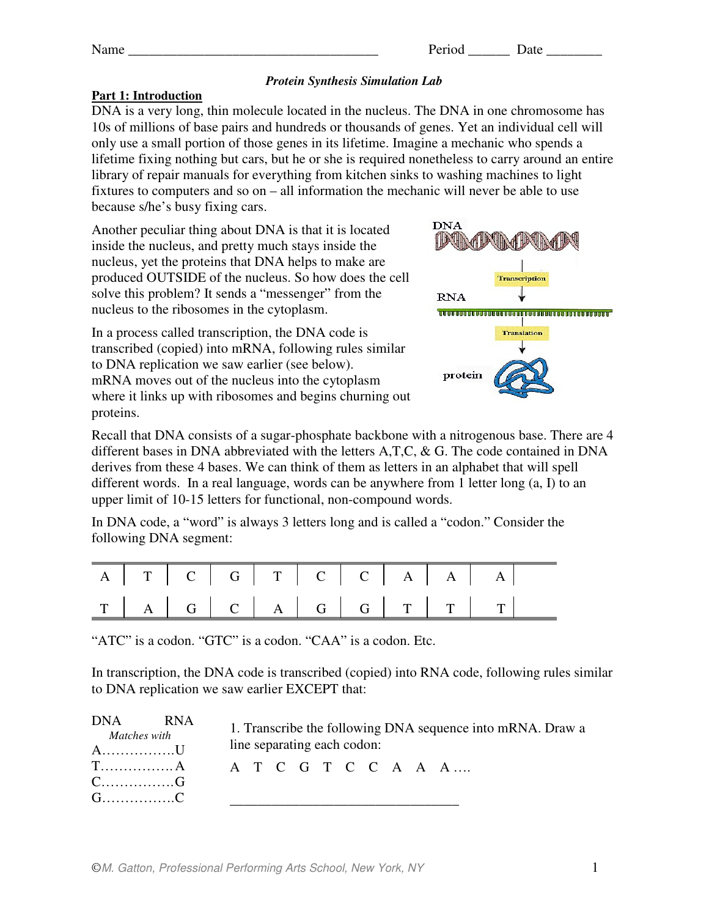## *Protein Synthesis Simulation Lab*

## **Part 1: Introduction**

DNA is a very long, thin molecule located in the nucleus. The DNA in one chromosome has 10s of millions of base pairs and hundreds or thousands of genes. Yet an individual cell will only use a small portion of those genes in its lifetime. Imagine a mechanic who spends a lifetime fixing nothing but cars, but he or she is required nonetheless to carry around an entire library of repair manuals for everything from kitchen sinks to washing machines to light fixtures to computers and so on – all information the mechanic will never be able to use because s/he's busy fixing cars.

Another peculiar thing about DNA is that it is located inside the nucleus, and pretty much stays inside the nucleus, yet the proteins that DNA helps to make are produced OUTSIDE of the nucleus. So how does the cell solve this problem? It sends a "messenger" from the nucleus to the ribosomes in the cytoplasm.

In a process called transcription, the DNA code is transcribed (copied) into mRNA, following rules similar to DNA replication we saw earlier (see below). mRNA moves out of the nucleus into the cytoplasm where it links up with ribosomes and begins churning out proteins.



Recall that DNA consists of a sugar-phosphate backbone with a nitrogenous base. There are 4 different bases in DNA abbreviated with the letters A,T,C, & G. The code contained in DNA derives from these 4 bases. We can think of them as letters in an alphabet that will spell different words. In a real language, words can be anywhere from 1 letter long (a, I) to an upper limit of 10-15 letters for functional, non-compound words.

In DNA code, a "word" is always 3 letters long and is called a "codon." Consider the following DNA segment:

|  |  |  |  | A T C G T C C A A A |  |
|--|--|--|--|---------------------|--|
|  |  |  |  |                     |  |

"ATC" is a codon. "GTC" is a codon. "CAA" is a codon. Etc.

In transcription, the DNA code is transcribed (copied) into RNA code, following rules similar to DNA replication we saw earlier EXCEPT that:

| DNA<br><b>RNA</b><br>Matches with<br>A. U       | line separating each codon: |  |  |  | 1. Transcribe the following DNA sequence into mRNA. Draw a |  |
|-------------------------------------------------|-----------------------------|--|--|--|------------------------------------------------------------|--|
| $\rm T. \dots. \dots. \dots. A$<br>C. G<br>G. C |                             |  |  |  | ATCGTCCAAA                                                 |  |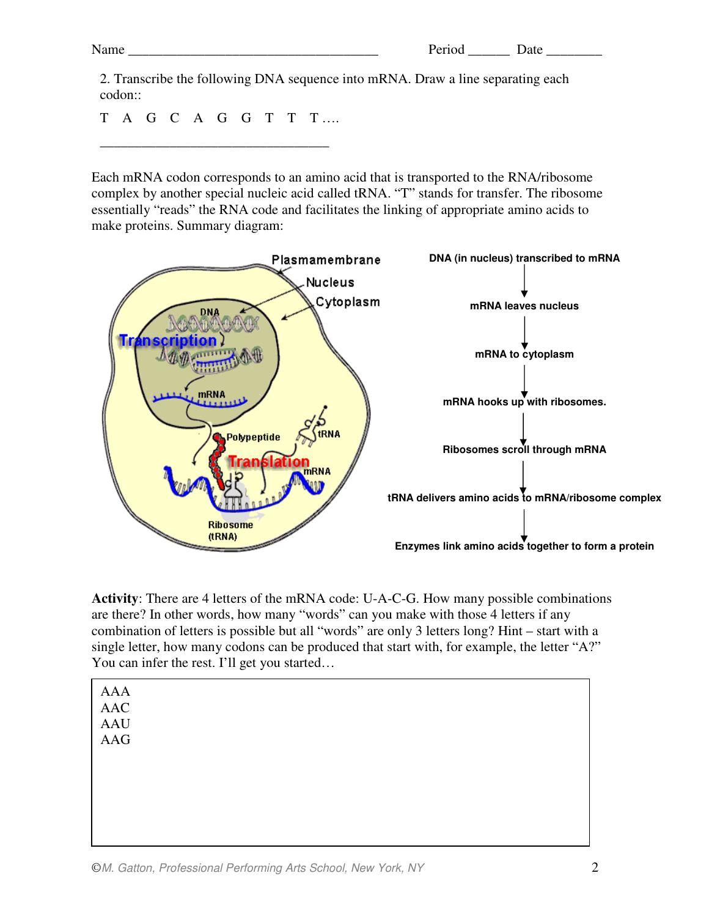2. Transcribe the following DNA sequence into mRNA. Draw a line separating each codon::

T A G C A G G T T T ….

\_\_\_\_\_\_\_\_\_\_\_\_\_\_\_\_\_\_\_\_\_\_\_\_\_\_\_\_\_\_\_\_\_

Each mRNA codon corresponds to an amino acid that is transported to the RNA/ribosome complex by another special nucleic acid called tRNA. "T" stands for transfer. The ribosome essentially "reads" the RNA code and facilitates the linking of appropriate amino acids to make proteins. Summary diagram:



**Activity**: There are 4 letters of the mRNA code: U-A-C-G. How many possible combinations are there? In other words, how many "words" can you make with those 4 letters if any combination of letters is possible but all "words" are only 3 letters long? Hint – start with a single letter, how many codons can be produced that start with, for example, the letter "A?" You can infer the rest. I'll get you started…

| AAA<br>AAC<br>AAU<br>AAG |  |  |  |
|--------------------------|--|--|--|
|                          |  |  |  |
|                          |  |  |  |
|                          |  |  |  |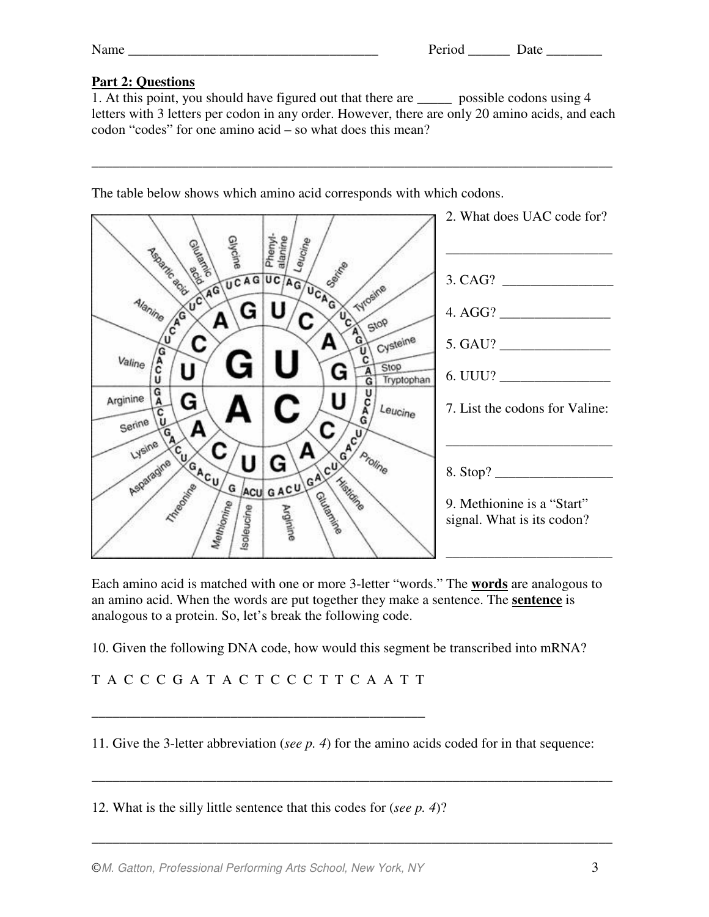## **Part 2: Questions**

1. At this point, you should have figured out that there are \_\_\_\_\_ possible codons using 4 letters with 3 letters per codon in any order. However, there are only 20 amino acids, and each codon "codes" for one amino acid – so what does this mean?

\_\_\_\_\_\_\_\_\_\_\_\_\_\_\_\_\_\_\_\_\_\_\_\_\_\_\_\_\_\_\_\_\_\_\_\_\_\_\_\_\_\_\_\_\_\_\_\_\_\_\_\_\_\_\_\_\_\_\_\_\_\_\_\_\_\_\_\_\_\_\_\_\_\_\_

The table below shows which amino acid corresponds with which codons.



Each amino acid is matched with one or more 3-letter "words." The **words** are analogous to an amino acid. When the words are put together they make a sentence. The **sentence** is analogous to a protein. So, let's break the following code.

10. Given the following DNA code, how would this segment be transcribed into mRNA?

T A C C C G A T A C T C C C T T C A A T T

\_\_\_\_\_\_\_\_\_\_\_\_\_\_\_\_\_\_\_\_\_\_\_\_\_\_\_\_\_\_\_\_\_\_\_\_\_\_\_\_\_\_\_\_\_\_\_\_

11. Give the 3-letter abbreviation (*see p. 4*) for the amino acids coded for in that sequence:

\_\_\_\_\_\_\_\_\_\_\_\_\_\_\_\_\_\_\_\_\_\_\_\_\_\_\_\_\_\_\_\_\_\_\_\_\_\_\_\_\_\_\_\_\_\_\_\_\_\_\_\_\_\_\_\_\_\_\_\_\_\_\_\_\_\_\_\_\_\_\_\_\_\_\_

\_\_\_\_\_\_\_\_\_\_\_\_\_\_\_\_\_\_\_\_\_\_\_\_\_\_\_\_\_\_\_\_\_\_\_\_\_\_\_\_\_\_\_\_\_\_\_\_\_\_\_\_\_\_\_\_\_\_\_\_\_\_\_\_\_\_\_\_\_\_\_\_\_\_\_

12. What is the silly little sentence that this codes for (*see p. 4*)?